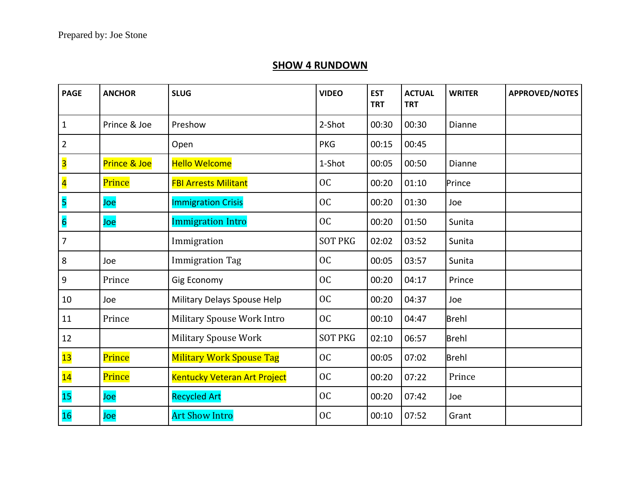## **SHOW 4 RUNDOWN**

| <b>PAGE</b>             | <b>ANCHOR</b> | <b>SLUG</b>                     | <b>VIDEO</b>   | <b>EST</b><br><b>TRT</b> | <b>ACTUAL</b><br><b>TRT</b> | <b>WRITER</b> | <b>APPROVED/NOTES</b> |
|-------------------------|---------------|---------------------------------|----------------|--------------------------|-----------------------------|---------------|-----------------------|
| $\mathbf{1}$            | Prince & Joe  | Preshow                         | 2-Shot         | 00:30                    | 00:30                       | Dianne        |                       |
| $\overline{\mathbf{c}}$ |               | Open                            | <b>PKG</b>     | 00:15                    | 00:45                       |               |                       |
| $\overline{\mathbf{3}}$ | Prince & Joe  | <b>Hello Welcome</b>            | 1-Shot         | 00:05                    | 00:50                       | Dianne        |                       |
| $\overline{\mathbf{4}}$ | Prince        | <b>FBI Arrests Militant</b>     | <b>OC</b>      | 00:20                    | 01:10                       | Prince        |                       |
| 5                       | Joe           | <b>Immigration Crisis</b>       | <b>OC</b>      | 00:20                    | 01:30                       | Joe           |                       |
| $\overline{\mathbf{6}}$ | Joe           | <b>Immigration Intro</b>        | <b>OC</b>      | 00:20                    | 01:50                       | Sunita        |                       |
| $\overline{7}$          |               | Immigration                     | <b>SOT PKG</b> | 02:02                    | 03:52                       | Sunita        |                       |
| 8                       | Joe           | <b>Immigration Tag</b>          | <b>OC</b>      | 00:05                    | 03:57                       | Sunita        |                       |
| $\boldsymbol{9}$        | Prince        | Gig Economy                     | <b>OC</b>      | 00:20                    | 04:17                       | Prince        |                       |
| 10                      | Joe           | Military Delays Spouse Help     | <b>OC</b>      | 00:20                    | 04:37                       | Joe           |                       |
| 11                      | Prince        | Military Spouse Work Intro      | <b>OC</b>      | 00:10                    | 04:47                       | <b>Brehl</b>  |                       |
| 12                      |               | <b>Military Spouse Work</b>     | <b>SOT PKG</b> | 02:10                    | 06:57                       | <b>Brehl</b>  |                       |
| 13                      | Prince        | <b>Military Work Spouse Tag</b> | <b>OC</b>      | 00:05                    | 07:02                       | <b>Brehl</b>  |                       |
| 14                      | Prince        | Kentucky Veteran Art Project    | <b>OC</b>      | 00:20                    | 07:22                       | Prince        |                       |
| 15                      | Joe           | <b>Recycled Art</b>             | <b>OC</b>      | 00:20                    | 07:42                       | Joe           |                       |
| <b>16</b>               | Joe           | <b>Art Show Intro</b>           | <b>OC</b>      | 00:10                    | 07:52                       | Grant         |                       |